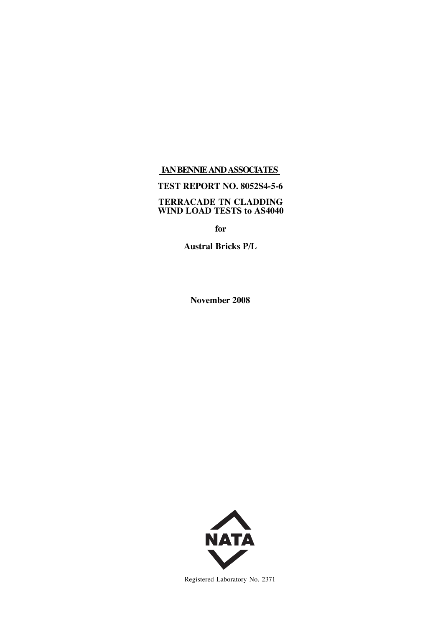# **IANBENNIEANDASSOCIATES**

# **TEST REPORT NO. 8052S4-5-6**

#### **TERRACADE TN CLADDING WIND LOAD TESTS to AS4040**

**for**

**Austral Bricks P/L**

**November 2008**



Registered Laboratory No. 2371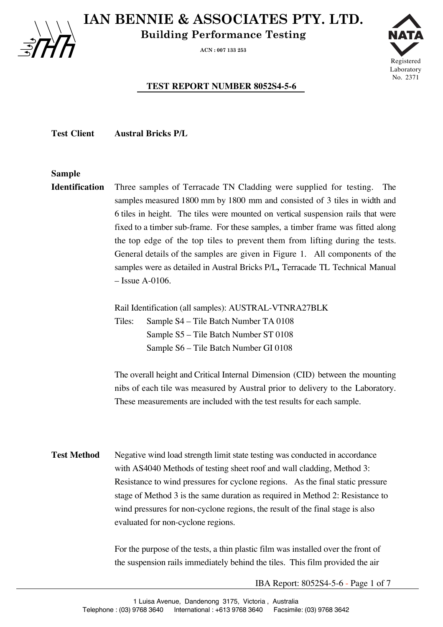**IAN BENNIE & ASSOCIATES PTY. LTD.**

**Building Performance Testing**

**ACN : 007 133 253**



# **TEST REPORT NUMBER 8052S4-5-6**

**Test Client Austral Bricks P/L**

## **Sample**

**Identification** Three samples of Terracade TN Cladding were supplied for testing. The samples measured 1800 mm by 1800 mm and consisted of 3 tiles in width and 6 tiles in height. The tiles were mounted on vertical suspension rails that were fixed to a timber sub-frame. For these samples, a timber frame was fitted along the top edge of the top tiles to prevent them from lifting during the tests. General details of the samples are given in Figure 1. All components of the samples were as detailed in Austral Bricks P/L**,** Terracade TL Technical Manual – Issue A-0106.

Rail Identification (all samples): AUSTRAL-VTNRA27BLK

Tiles: Sample S4 – Tile Batch Number TA 0108 Sample S5 – Tile Batch Number ST 0108 Sample S6 – Tile Batch Number GI 0108

The overall height and Critical Internal Dimension (CID) between the mounting nibs of each tile was measured by Austral prior to delivery to the Laboratory. These measurements are included with the test results for each sample.

**Test Method** Negative wind load strength limit state testing was conducted in accordance with AS4040 Methods of testing sheet roof and wall cladding, Method 3: Resistance to wind pressures for cyclone regions. As the final static pressure stage of Method 3 is the same duration as required in Method 2: Resistance to wind pressures for non-cyclone regions, the result of the final stage is also evaluated for non-cyclone regions.

> For the purpose of the tests, a thin plastic film was installed over the front of the suspension rails immediately behind the tiles. This film provided the air

> > IBA Report: 8052S4-5-6 - Page 1 of 7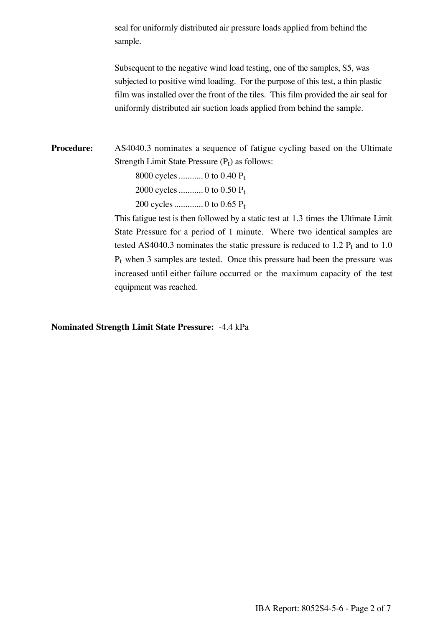seal for uniformly distributed air pressure loads applied from behind the sample.

Subsequent to the negative wind load testing, one of the samples, S5, was subjected to positive wind loading. For the purpose of this test, a thin plastic film was installed over the front of the tiles. This film provided the air seal for uniformly distributed air suction loads applied from behind the sample.

**Procedure:** AS4040.3 nominates a sequence of fatigue cycling based on the Ultimate Strength Limit State Pressure  $(P_t)$  as follows:

> 8000 cycles........... 0 to 0.40 Pt 2000 cycles........... 0 to 0.50 Pt 200 cycles............. 0 to 0.65 Pt

This fatigue test is then followed by a static test at 1.3 times the Ultimate Limit State Pressure for a period of 1 minute. Where two identical samples are tested AS4040.3 nominates the static pressure is reduced to  $1.2$   $P_t$  and to  $1.0$  $P_t$  when 3 samples are tested. Once this pressure had been the pressure was increased until either failure occurred or the maximum capacity of the test equipment was reached.

**Nominated Strength Limit State Pressure:** -4.4 kPa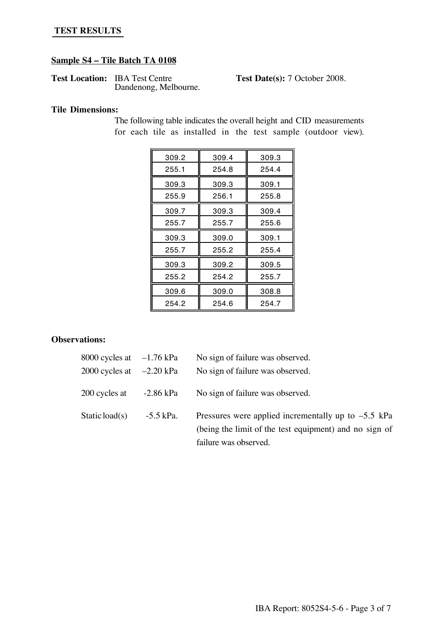## **TEST RESULTS**

#### **Sample S4 – Tile Batch TA 0108**

Test Location: IBA Test Centre **Test Date(s):** 7 October 2008. Dandenong, Melbourne.

#### **Tile Dimensions:**

| 309.2 | 309.4 | 309.3 |
|-------|-------|-------|
| 255.1 | 254.8 | 254.4 |
| 309.3 | 309.3 | 309.1 |
| 255.9 | 256.1 | 255.8 |
| 309.7 | 309.3 | 309.4 |
| 255.7 | 255.7 | 255.6 |
| 309.3 | 309.0 | 309.1 |
| 255.7 | 255.2 | 255.4 |
| 309.3 | 309.2 | 309.5 |
| 255.2 | 254.2 | 255.7 |
| 309.6 | 309.0 | 308.8 |
| 254.2 | 254.6 | 254.7 |

The following table indicates the overall height and CID measurements for each tile as installed in the test sample (outdoor view).

### **Observations:**

| 8000 cycles at $-1.76$ kPa  |           | No sign of failure was observed.                                                                                |
|-----------------------------|-----------|-----------------------------------------------------------------------------------------------------------------|
| 2000 cycles at $-2.20$ kPa  |           | No sign of failure was observed.                                                                                |
| $200$ cycles at $-2.86$ kPa |           | No sign of failure was observed.                                                                                |
| Static load(s)              | -5.5 kPa. | Pressures were applied incrementally up to $-5.5$ kPa<br>(being the limit of the test equipment) and no sign of |

failure was observed.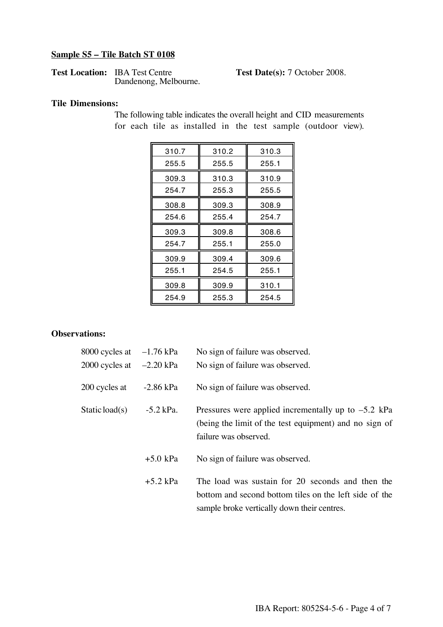# **Sample S5 – Tile Batch ST 0108**

| <b>Test Location: IBA Test Centre</b> |  |
|---------------------------------------|--|
| Dandenong, Melbourne.                 |  |

**Test Date(s):** 7 October 2008.

# **Tile Dimensions:**

The following table indicates the overall height and CID measurements for each tile as installed in the test sample (outdoor view).

| 310.2 | 310.3 |
|-------|-------|
| 255.5 | 255.1 |
| 310.3 | 310.9 |
| 255.3 | 255.5 |
| 309.3 | 308.9 |
| 255.4 | 254.7 |
| 309.8 | 308.6 |
| 255.1 | 255.0 |
| 309.4 | 309.6 |
| 254.5 | 255.1 |
| 309.9 | 310.1 |
| 255.3 | 254.5 |
|       |       |

## **Observations:**

| 8000 cycles at $-1.76$ kPa | No sign of failure was observed.                                                                                                                          |
|----------------------------|-----------------------------------------------------------------------------------------------------------------------------------------------------------|
| 2000 cycles at $-2.20$ kPa | No sign of failure was observed.                                                                                                                          |
| $-2.86$ kPa                | No sign of failure was observed.                                                                                                                          |
| $-5.2$ kPa.                | Pressures were applied incrementally up to $-5.2$ kPa<br>(being the limit of the test equipment) and no sign of<br>failure was observed.                  |
| $+5.0$ kPa                 | No sign of failure was observed.                                                                                                                          |
| $+5.2$ kPa                 | The load was sustain for 20 seconds and then the<br>bottom and second bottom tiles on the left side of the<br>sample broke vertically down their centres. |
|                            |                                                                                                                                                           |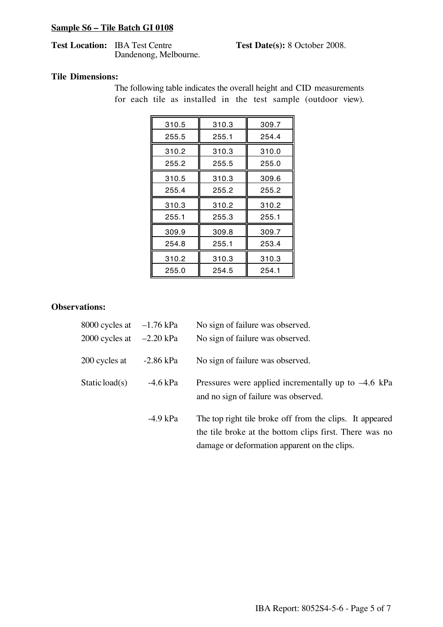# **Sample S6 – Tile Batch GI 0108**

#### **Test Location:** IBA Test Centre **Test Date(s):** 8 October 2008. Dandenong, Melbourne.

#### **Tile Dimensions:**

The following table indicates the overall height and CID measurements for each tile as installed in the test sample (outdoor view).

| 310.5 | 310.3 | 309.7 |
|-------|-------|-------|
| 255.5 | 255.1 | 254.4 |
| 310.2 | 310.3 | 310.0 |
| 255.2 | 255.5 | 255.0 |
| 310.5 | 310.3 | 309.6 |
| 255.4 | 255.2 | 255.2 |
| 310.3 | 310.2 | 310.2 |
| 255.1 | 255.3 | 255.1 |
| 309.9 | 309.8 | 309.7 |
| 254.8 | 255.1 | 253.4 |
| 310.2 | 310.3 | 310.3 |
| 255.0 | 254.5 | 254.1 |

## **Observations:**

| 8000 cycles at $-1.76$ kPa |             | No sign of failure was observed.                                                                                                                                   |
|----------------------------|-------------|--------------------------------------------------------------------------------------------------------------------------------------------------------------------|
| 2000 cycles at $-2.20$ kPa |             | No sign of failure was observed.                                                                                                                                   |
| 200 cycles at              | $-2.86$ kPa | No sign of failure was observed.                                                                                                                                   |
| Static load(s)             | $-4.6$ kPa  | Pressures were applied incrementally up to $-4.6$ kPa<br>and no sign of failure was observed.                                                                      |
|                            | $-4.9$ kPa  | The top right tile broke off from the clips. It appeared<br>the tile broke at the bottom clips first. There was no<br>damage or deformation apparent on the clips. |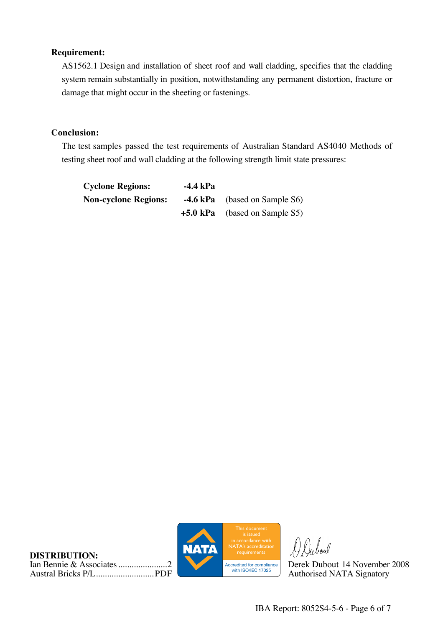## **Requirement:**

AS1562.1 Design and installation of sheet roof and wall cladding, specifies that the cladding system remain substantially in position, notwithstanding any permanent distortion, fracture or damage that might occur in the sheeting or fastenings.

## **Conclusion:**

The test samples passed the test requirements of Australian Standard AS4040 Methods of testing sheet roof and wall cladding at the following strength limit state pressures:

| <b>Cyclone Regions:</b>     | -4.4 kPa |                                         |
|-----------------------------|----------|-----------------------------------------|
| <b>Non-cyclone Regions:</b> |          | <b>-4.6 kPa</b> (based on Sample S6)    |
|                             |          | $+5.0 \text{ kPa}$ (based on Sample S5) |

**DISTRIBUTION:** Ian Bennie & Associates......................2 Derek Dubout 14 November 2008 Austral Bricks P/L................................ PDF